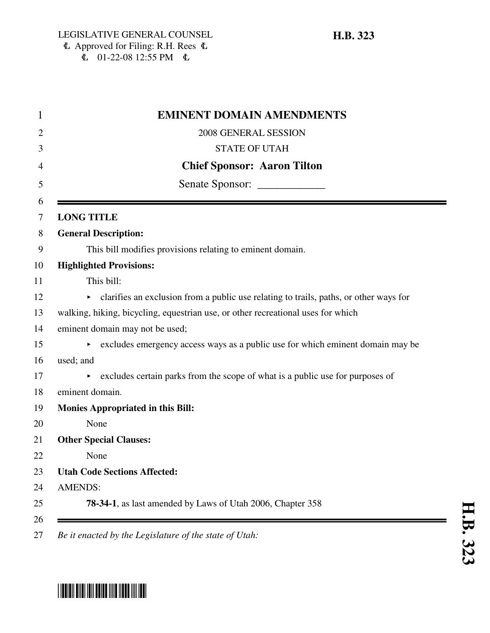# $\Phi$  Approved for Filing: R.H. Rees  $\Phi$  $E = 01-22-08$  12:55 PM  $E =$

| <b>EMINENT DOMAIN AMENDMENTS</b>                                                            |
|---------------------------------------------------------------------------------------------|
| 2008 GENERAL SESSION                                                                        |
| <b>STATE OF UTAH</b>                                                                        |
| <b>Chief Sponsor: Aaron Tilton</b>                                                          |
| Senate Sponsor: _______________                                                             |
| <b>LONG TITLE</b>                                                                           |
| <b>General Description:</b>                                                                 |
| This bill modifies provisions relating to eminent domain.                                   |
| <b>Highlighted Provisions:</b>                                                              |
| This bill:                                                                                  |
| clarifies an exclusion from a public use relating to trails, paths, or other ways for<br>▶. |
| walking, hiking, bicycling, equestrian use, or other recreational uses for which            |
| eminent domain may not be used;                                                             |
| excludes emergency access ways as a public use for which eminent domain may be              |
| used; and                                                                                   |
| excludes certain parks from the scope of what is a public use for purposes of<br>►          |
| eminent domain.                                                                             |
| <b>Monies Appropriated in this Bill:</b>                                                    |
| None                                                                                        |
| <b>Other Special Clauses:</b>                                                               |
| None                                                                                        |
| <b>Utah Code Sections Affected:</b>                                                         |
| <b>AMENDS:</b>                                                                              |
| <b>78-34-1</b> , as last amended by Laws of Utah 2006, Chapter 358                          |

# \*HB0323\*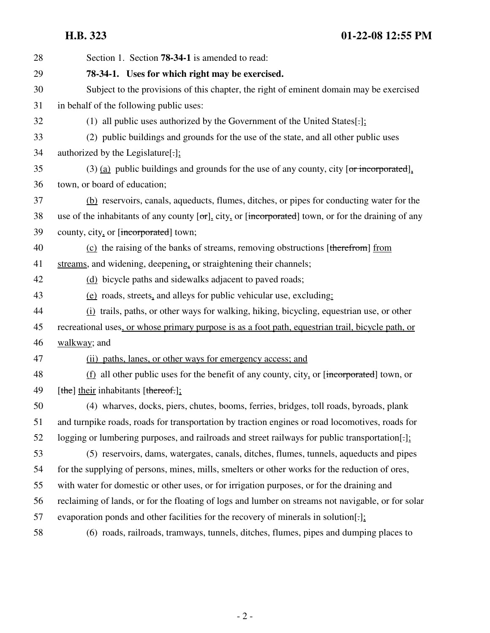| 28 | Section 1. Section <b>78-34-1</b> is amended to read:                                                        |
|----|--------------------------------------------------------------------------------------------------------------|
| 29 | 78-34-1. Uses for which right may be exercised.                                                              |
| 30 | Subject to the provisions of this chapter, the right of eminent domain may be exercised                      |
| 31 | in behalf of the following public uses:                                                                      |
| 32 | (1) all public uses authorized by the Government of the United States[ $:$ ]:                                |
| 33 | (2) public buildings and grounds for the use of the state, and all other public uses                         |
| 34 | authorized by the Legislature[ $\cdot$ ]:                                                                    |
| 35 | $(3)$ (a) public buildings and grounds for the use of any county, city [or incorporated].                    |
| 36 | town, or board of education;                                                                                 |
| 37 | (b) reservoirs, canals, aqueducts, flumes, ditches, or pipes for conducting water for the                    |
| 38 | use of the inhabitants of any county $[\sigma r]$ , city, or [incorporated] town, or for the draining of any |
| 39 | county, city, or [incorporated] town;                                                                        |
| 40 | (c) the raising of the banks of streams, removing obstructions [therefrom] from                              |
| 41 | streams, and widening, deepening, or straightening their channels;                                           |
| 42 | (d) bicycle paths and sidewalks adjacent to paved roads;                                                     |
| 43 | (e) roads, streets, and alleys for public vehicular use, excluding:                                          |
| 44 | (i) trails, paths, or other ways for walking, hiking, bicycling, equestrian use, or other                    |
| 45 | recreational uses, or whose primary purpose is as a foot path, equestrian trail, bicycle path, or            |
| 46 | walkway; and                                                                                                 |
| 47 | (ii) paths, lanes, or other ways for emergency access; and                                                   |
| 48 | $(f)$ all other public uses for the benefit of any county, city, or [incorporated] town, or                  |
| 49 | [the] their inhabitants [thereof.];                                                                          |
| 50 | (4) wharves, docks, piers, chutes, booms, ferries, bridges, toll roads, byroads, plank                       |
| 51 | and turnpike roads, roads for transportation by traction engines or road locomotives, roads for              |
| 52 | logging or lumbering purposes, and railroads and street railways for public transportation[:]:               |
| 53 | (5) reservoirs, dams, watergates, canals, ditches, flumes, tunnels, aqueducts and pipes                      |
| 54 | for the supplying of persons, mines, mills, smelters or other works for the reduction of ores,               |
| 55 | with water for domestic or other uses, or for irrigation purposes, or for the draining and                   |
| 56 | reclaiming of lands, or for the floating of logs and lumber on streams not navigable, or for solar           |
| 57 | evaporation ponds and other facilities for the recovery of minerals in solution[-];                          |
| 58 | (6) roads, railroads, tramways, tunnels, ditches, flumes, pipes and dumping places to                        |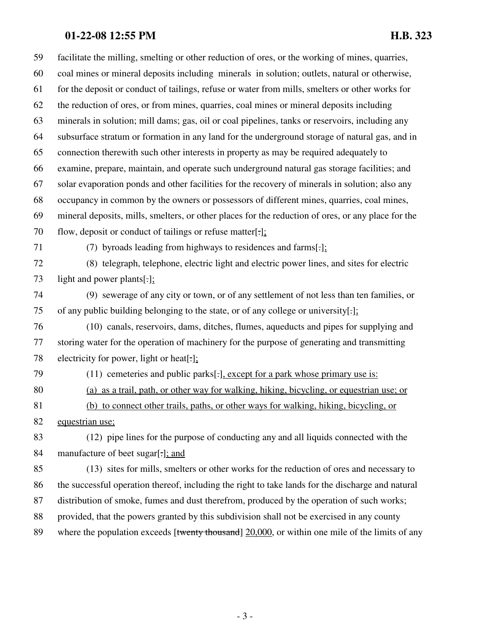# **01-22-08 12:55 PM H.B. 323**

59 facilitate the milling, smelting or other reduction of ores, or the working of mines, quarries, 60 coal mines or mineral deposits including minerals in solution; outlets, natural or otherwise, 61 for the deposit or conduct of tailings, refuse or water from mills, smelters or other works for 62 the reduction of ores, or from mines, quarries, coal mines or mineral deposits including 63 minerals in solution; mill dams; gas, oil or coal pipelines, tanks or reservoirs, including any 64 subsurface stratum or formation in any land for the underground storage of natural gas, and in 65 connection therewith such other interests in property as may be required adequately to 66 examine, prepare, maintain, and operate such underground natural gas storage facilities; and 67 solar evaporation ponds and other facilities for the recovery of minerals in solution; also any 68 occupancy in common by the owners or possessors of different mines, quarries, coal mines, 69 mineral deposits, mills, smelters, or other places for the reduction of ores, or any place for the 70 flow, deposit or conduct of tailings or refuse matter[.]; 71 (7) byroads leading from highways to residences and farms[.]; 72 (8) telegraph, telephone, electric light and electric power lines, and sites for electric 73 light and power plants[.]; 74 (9) sewerage of any city or town, or of any settlement of not less than ten families, or 75 of any public building belonging to the state, or of any college or university[.]; 76 (10) canals, reservoirs, dams, ditches, flumes, aqueducts and pipes for supplying and 77 storing water for the operation of machinery for the purpose of generating and transmitting 78 electricity for power, light or heat[.]; 79 (11) cemeteries and public parks[.], except for a park whose primary use is: 80 (a) as a trail, path, or other way for walking, hiking, bicycling, or equestrian use; or 81 (b) to connect other trails, paths, or other ways for walking, hiking, bicycling, or 82 equestrian use; 83 (12) pipe lines for the purpose of conducting any and all liquids connected with the 84 manufacture of beet sugar[.]; and 85 (13) sites for mills, smelters or other works for the reduction of ores and necessary to 86 the successful operation thereof, including the right to take lands for the discharge and natural 87 distribution of smoke, fumes and dust therefrom, produced by the operation of such works; 88 provided, that the powers granted by this subdivision shall not be exercised in any county 89 where the population exceeds [twenty thousand] 20,000, or within one mile of the limits of any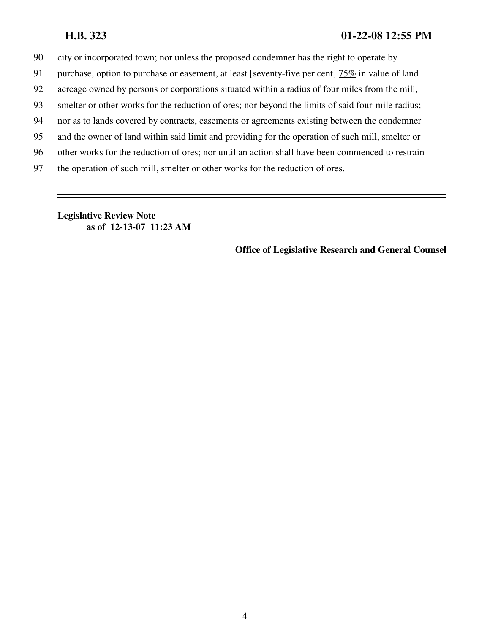90 city or incorporated town; nor unless the proposed condemner has the right to operate by

- 91 purchase, option to purchase or easement, at least [seventy-five per cent] 75% in value of land
- 92 acreage owned by persons or corporations situated within a radius of four miles from the mill,
- 93 smelter or other works for the reduction of ores; nor beyond the limits of said four-mile radius;
- 94 nor as to lands covered by contracts, easements or agreements existing between the condemner
- 95 and the owner of land within said limit and providing for the operation of such mill, smelter or
- 96 other works for the reduction of ores; nor until an action shall have been commenced to restrain
- 97 the operation of such mill, smelter or other works for the reduction of ores.

**Legislative Review Note as of 12-13-07 11:23 AM**

**Office of Legislative Research and General Counsel**